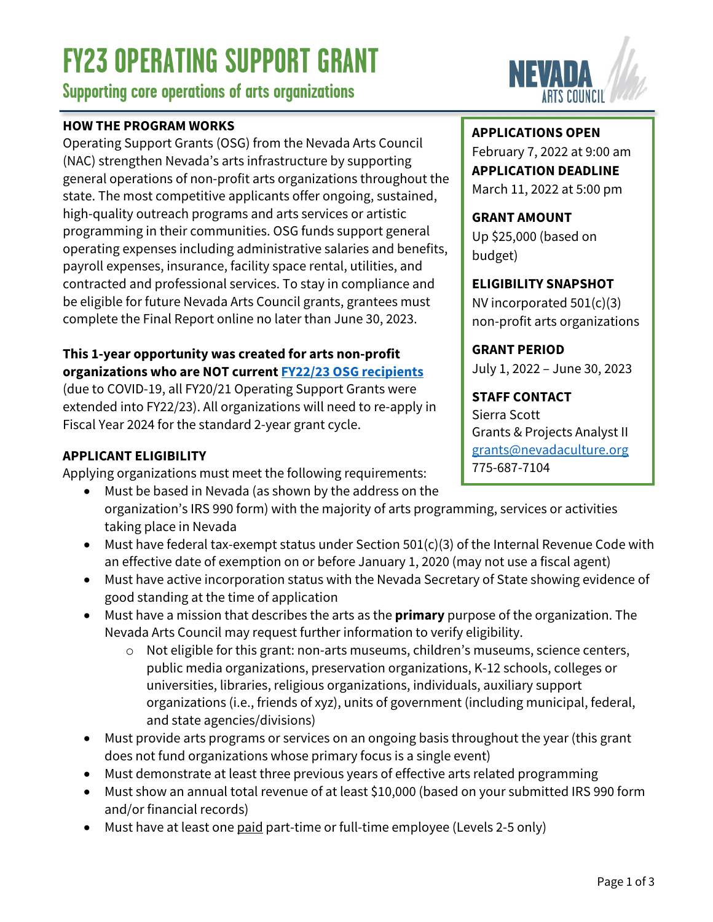# **FY23 OPERATING SUPPORT GRANT**

**Supporting core operations of arts organizations**

## **HOW THE PROGRAM WORKS**

Operating Support Grants (OSG) from the Nevada Arts Council (NAC) strengthen Nevada's arts infrastructure by supporting general operations of non-profit arts organizations throughout the state. The most competitive applicants offer ongoing, sustained, high-quality outreach programs and arts services or artistic programming in their communities. OSG funds support general operating expenses including administrative salaries and benefits, payroll expenses, insurance, facility space rental, utilities, and contracted and professional services. To stay in compliance and be eligible for future Nevada Arts Council grants, grantees must complete the Final Report online no later than June 30, 2023.

#### **This 1-year opportunity was created for arts non-profit organizations who are NOT current [FY22/23 OSG recipients](https://www.nvartscouncil.org/wp-content/uploads/FY21-OPERATING-SUPPORT-GRANTEE-LIST-2-YEAR-GRANT.pdf)**

(due to COVID-19, all FY20/21 Operating Support Grants were extended into FY22/23). All organizations will need to re-apply in Fiscal Year 2024 for the standard 2-year grant cycle.

# **APPLICANT ELIGIBILITY**

Applying organizations must meet the following requirements:

- Must be based in Nevada (as shown by the address on the organization's IRS 990 form) with the majority of arts programming, services or activities taking place in Nevada
- Must have federal tax-exempt status under Section 501(c)(3) of the Internal Revenue Code with an effective date of exemption on or before January 1, 2020 (may not use a fiscal agent)
- Must have active incorporation status with the Nevada Secretary of State showing evidence of good standing at the time of application
- Must have a mission that describes the arts as the **primary** purpose of the organization. The Nevada Arts Council may request further information to verify eligibility.
	- o Not eligible for this grant: non-arts museums, children's museums, science centers, public media organizations, preservation organizations, K-12 schools, colleges or universities, libraries, religious organizations, individuals, auxiliary support organizations (i.e., friends of xyz), units of government (including municipal, federal, and state agencies/divisions)
- Must provide arts programs or services on an ongoing basis throughout the year (this grant does not fund organizations whose primary focus is a single event)
- Must demonstrate at least three previous years of effective arts related programming
- Must show an annual total revenue of at least \$10,000 (based on your submitted IRS 990 form and/or financial records)
- Must have at least one paid part-time or full-time employee (Levels 2-5 only)



## **APPLICATIONS OPEN**

February 7, 2022 at 9:00 am **APPLICATION DEADLINE** March 11, 2022 at 5:00 pm

**GRANT AMOUNT** Up \$25,000 (based on budget)

**ELIGIBILITY SNAPSHOT** NV incorporated 501(c)(3)

non-profit arts organizations

**GRANT PERIOD**

July 1, 2022 – June 30, 2023

**STAFF CONTACT** Sierra Scott Grants & Projects Analyst II [grants@nevadaculture.org](mailto: grants@nevadaculture.org) 775-687-7104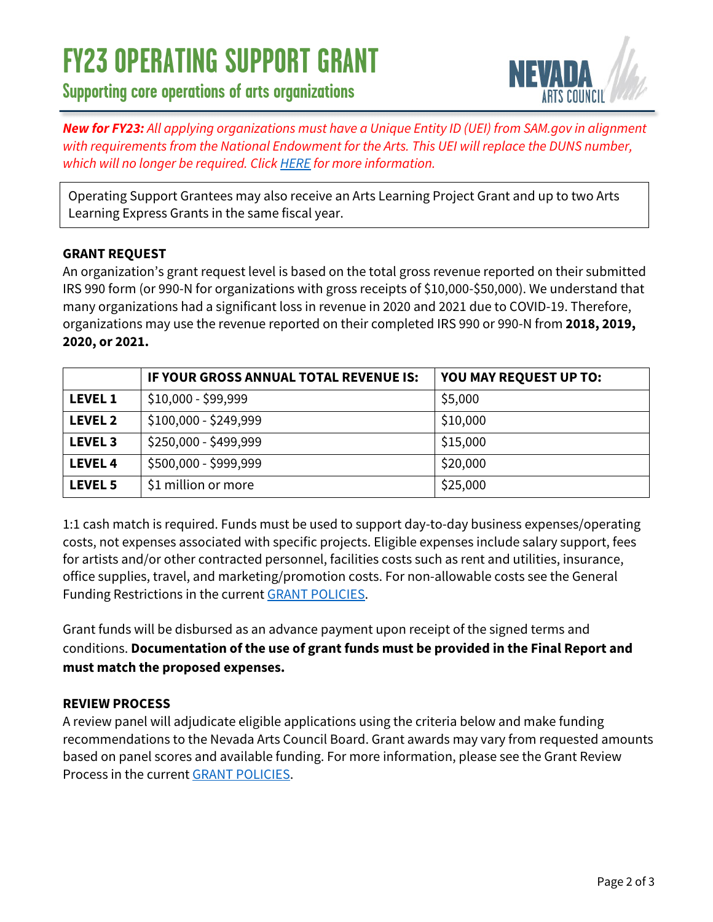# **FY23 OPERATING SUPPORT GRANT**

**Supporting core operations of arts organizations**



*New for FY23: All applying organizations must have a Unique Entity ID (UEI) from SAM.gov in alignment with requirements from the National Endowment for the Arts. This UEI will replace the DUNS number, which will no longer be required. Click [HERE](https://www.nvartscouncil.org/grants/resources-for-grant-applicants/) for more information.*

Operating Support Grantees may also receive an Arts Learning Project Grant and up to two Arts Learning Express Grants in the same fiscal year.

#### **GRANT REQUEST**

An organization's grant request level is based on the total gross revenue reported on their submitted IRS 990 form (or 990-N for organizations with gross receipts of \$10,000-\$50,000). We understand that many organizations had a significant loss in revenue in 2020 and 2021 due to COVID-19. Therefore, organizations may use the revenue reported on their completed IRS 990 or 990-N from **2018, 2019, 2020, or 2021.**

|                | IF YOUR GROSS ANNUAL TOTAL REVENUE IS: | YOU MAY REQUEST UP TO: |
|----------------|----------------------------------------|------------------------|
| <b>LEVEL 1</b> | \$10,000 - \$99,999                    | \$5,000                |
| <b>LEVEL 2</b> | \$100,000 - \$249,999                  | \$10,000               |
| <b>LEVEL 3</b> | \$250,000 - \$499,999                  | \$15,000               |
| <b>LEVEL 4</b> | \$500,000 - \$999,999                  | \$20,000               |
| <b>LEVEL 5</b> | \$1 million or more                    | \$25,000               |

1:1 cash match is required. Funds must be used to support day-to-day business expenses/operating costs, not expenses associated with specific projects. Eligible expenses include salary support, fees for artists and/or other contracted personnel, facilities costs such as rent and utilities, insurance, office supplies, travel, and marketing/promotion costs. For non-allowable costs see the General Funding Restrictions in the current [GRANT POLICIES.](https://www.nvartscouncil.org/wp-content/uploads/FY23-NAC-GRANT-POLICIES-FINAL.pdf)

Grant funds will be disbursed as an advance payment upon receipt of the signed terms and conditions. **Documentation of the use of grant funds must be provided in the Final Report and must match the proposed expenses.**

#### **REVIEW PROCESS**

A review panel will adjudicate eligible applications using the criteria below and make funding recommendations to the Nevada Arts Council Board. Grant awards may vary from requested amounts based on panel scores and available funding. For more information, please see the Grant Review Process in the current [GRANT POLICIES.](https://www.nvartscouncil.org/wp-content/uploads/FY23-NAC-GRANT-POLICIES-FINAL.pdf)